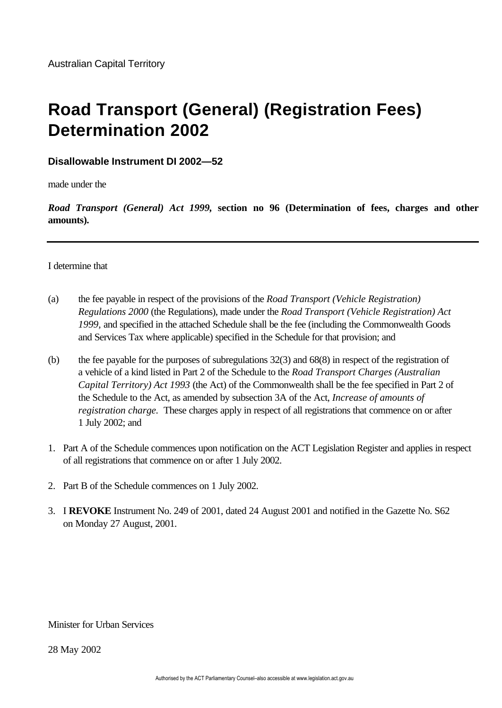# **Road Transport (General) (Registration Fees) Determination 2002**

# **Disallowable Instrument DI 2002—52**

made under the

*Road Transport (General) Act 1999,* **section no 96 (Determination of fees, charges and other amounts).**

## I determine that

- (a) the fee payable in respect of the provisions of the *Road Transport (Vehicle Registration) Regulations 2000* (the Regulations), made under the *Road Transport (Vehicle Registration) Act 1999,* and specified in the attached Schedule shall be the fee (including the Commonwealth Goods and Services Tax where applicable) specified in the Schedule for that provision; and
- (b) the fee payable for the purposes of subregulations 32(3) and 68(8) in respect of the registration of a vehicle of a kind listed in Part 2 of the Schedule to the *Road Transport Charges (Australian Capital Territory) Act 1993* (the Act) of the Commonwealth shall be the fee specified in Part 2 of the Schedule to the Act, as amended by subsection 3A of the Act, *Increase of amounts of registration charge.* These charges apply in respect of all registrations that commence on or after 1 July 2002; and
- 1. Part A of the Schedule commences upon notification on the ACT Legislation Register and applies in respect of all registrations that commence on or after 1 July 2002.
- 2. Part B of the Schedule commences on 1 July 2002.
- 3. I **REVOKE** Instrument No. 249 of 2001, dated 24 August 2001 and notified in the Gazette No. S62 on Monday 27 August, 2001.

#### Minister for Urban Services

28 May 2002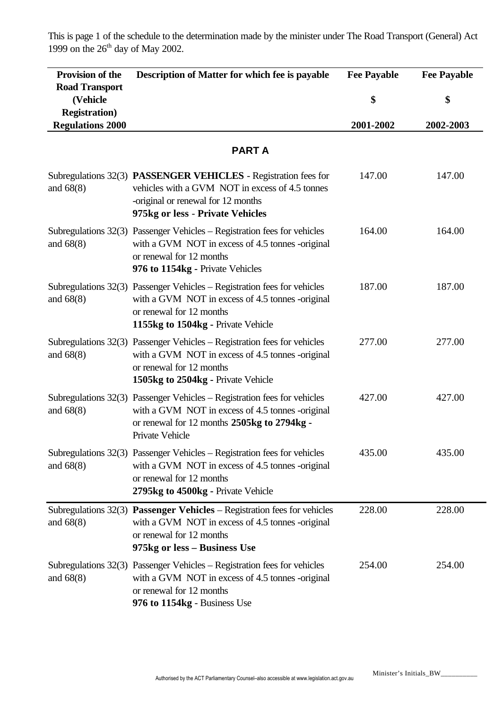This is page 1 of the schedule to the determination made by the minister under The Road Transport (General) Act 1999 on the  $26<sup>th</sup>$  day of May 2002.

| <b>Provision of the</b>                                    | Description of Matter for which fee is payable                                                                                                                                                    | <b>Fee Payable</b> | <b>Fee Payable</b> |
|------------------------------------------------------------|---------------------------------------------------------------------------------------------------------------------------------------------------------------------------------------------------|--------------------|--------------------|
| <b>Road Transport</b><br>(Vehicle<br><b>Registration</b> ) |                                                                                                                                                                                                   | \$                 | \$                 |
| <b>Regulations 2000</b>                                    |                                                                                                                                                                                                   | 2001-2002          | 2002-2003          |
|                                                            | <b>PARTA</b>                                                                                                                                                                                      |                    |                    |
| and $68(8)$                                                | Subregulations 32(3) PASSENGER VEHICLES - Registration fees for<br>vehicles with a GVM NOT in excess of 4.5 tonnes<br>-original or renewal for 12 months<br>975kg or less - Private Vehicles      | 147.00             | 147.00             |
| and $68(8)$                                                | Subregulations 32(3) Passenger Vehicles – Registration fees for vehicles<br>with a GVM NOT in excess of 4.5 tonnes -original<br>or renewal for 12 months<br>976 to 1154kg - Private Vehicles      | 164.00             | 164.00             |
| and $68(8)$                                                | Subregulations 32(3) Passenger Vehicles – Registration fees for vehicles<br>with a GVM NOT in excess of 4.5 tonnes -original<br>or renewal for 12 months<br>1155kg to 1504kg - Private Vehicle    | 187.00             | 187.00             |
| and $68(8)$                                                | Subregulations 32(3) Passenger Vehicles – Registration fees for vehicles<br>with a GVM NOT in excess of 4.5 tonnes -original<br>or renewal for 12 months<br>1505kg to 2504kg - Private Vehicle    | 277.00             | 277.00             |
| and $68(8)$                                                | Subregulations 32(3) Passenger Vehicles – Registration fees for vehicles<br>with a GVM NOT in excess of 4.5 tonnes -original<br>or renewal for 12 months 2505kg to 2794kg -<br>Private Vehicle    | 427.00             | 427.00             |
| and $68(8)$                                                | Subregulations $32(3)$ Passenger Vehicles – Registration fees for vehicles<br>with a GVM NOT in excess of 4.5 tonnes -original<br>or renewal for 12 months<br>2795kg to 4500kg - Private Vehicle  | 435.00             | 435.00             |
| and $68(8)$                                                | Subregulations $32(3)$ <b>Passenger Vehicles</b> – Registration fees for vehicles<br>with a GVM NOT in excess of 4.5 tonnes -original<br>or renewal for 12 months<br>975kg or less - Business Use | 228.00             | 228.00             |
| and $68(8)$                                                | Subregulations 32(3) Passenger Vehicles – Registration fees for vehicles<br>with a GVM NOT in excess of 4.5 tonnes -original<br>or renewal for 12 months<br>976 to 1154kg - Business Use          | 254.00             | 254.00             |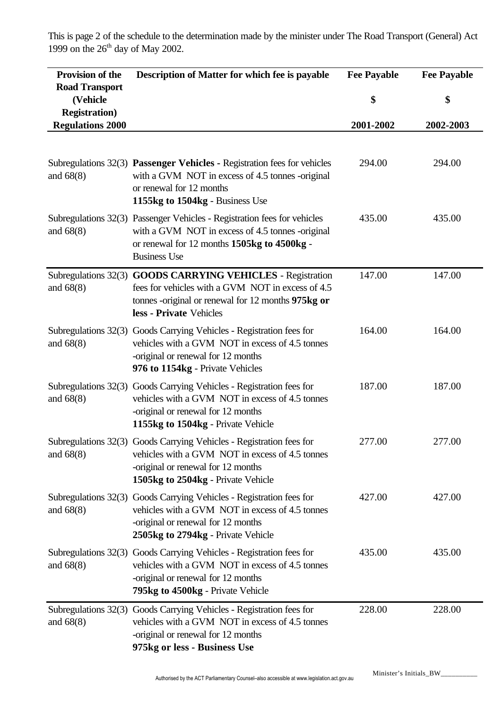This is page 2 of the schedule to the determination made by the minister under The Road Transport (General) Act 1999 on the  $26<sup>th</sup>$  day of May 2002.

| Provision of the<br><b>Road Transport</b>        | Description of Matter for which fee is payable                                                                                                                                                      | <b>Fee Payable</b> | <b>Fee Payable</b> |
|--------------------------------------------------|-----------------------------------------------------------------------------------------------------------------------------------------------------------------------------------------------------|--------------------|--------------------|
| (Vehicle                                         |                                                                                                                                                                                                     | \$                 | \$                 |
| <b>Registration</b> )<br><b>Regulations 2000</b> |                                                                                                                                                                                                     | 2001-2002          | 2002-2003          |
|                                                  |                                                                                                                                                                                                     |                    |                    |
| and $68(8)$                                      | Subregulations 32(3) Passenger Vehicles - Registration fees for vehicles<br>with a GVM NOT in excess of 4.5 tonnes -original<br>or renewal for 12 months<br>1155kg to 1504kg - Business Use         | 294.00             | 294.00             |
| and $68(8)$                                      | Subregulations 32(3) Passenger Vehicles - Registration fees for vehicles<br>with a GVM NOT in excess of 4.5 tonnes -original<br>or renewal for 12 months 1505kg to 4500kg -<br><b>Business Use</b>  | 435.00             | 435.00             |
| and $68(8)$                                      | Subregulations 32(3) GOODS CARRYING VEHICLES - Registration<br>fees for vehicles with a GVM NOT in excess of 4.5<br>tonnes -original or renewal for 12 months 975kg or<br>less - Private Vehicles   | 147.00             | 147.00             |
| and $68(8)$                                      | Subregulations 32(3) Goods Carrying Vehicles - Registration fees for<br>vehicles with a GVM NOT in excess of 4.5 tonnes<br>-original or renewal for 12 months<br>976 to 1154kg - Private Vehicles   | 164.00             | 164.00             |
| and $68(8)$                                      | Subregulations 32(3) Goods Carrying Vehicles - Registration fees for<br>vehicles with a GVM NOT in excess of 4.5 tonnes<br>-original or renewal for 12 months<br>1155kg to 1504kg - Private Vehicle | 187.00             | 187.00             |
| and $68(8)$                                      | Subregulations 32(3) Goods Carrying Vehicles - Registration fees for<br>vehicles with a GVM NOT in excess of 4.5 tonnes<br>-original or renewal for 12 months<br>1505kg to 2504kg - Private Vehicle | 277.00             | 277.00             |
| and $68(8)$                                      | Subregulations 32(3) Goods Carrying Vehicles - Registration fees for<br>vehicles with a GVM NOT in excess of 4.5 tonnes<br>-original or renewal for 12 months<br>2505kg to 2794kg - Private Vehicle | 427.00             | 427.00             |
| and $68(8)$                                      | Subregulations 32(3) Goods Carrying Vehicles - Registration fees for<br>vehicles with a GVM NOT in excess of 4.5 tonnes<br>-original or renewal for 12 months<br>795kg to 4500kg - Private Vehicle  | 435.00             | 435.00             |
| and $68(8)$                                      | Subregulations 32(3) Goods Carrying Vehicles - Registration fees for<br>vehicles with a GVM NOT in excess of 4.5 tonnes<br>-original or renewal for 12 months<br>975kg or less - Business Use       | 228.00             | 228.00             |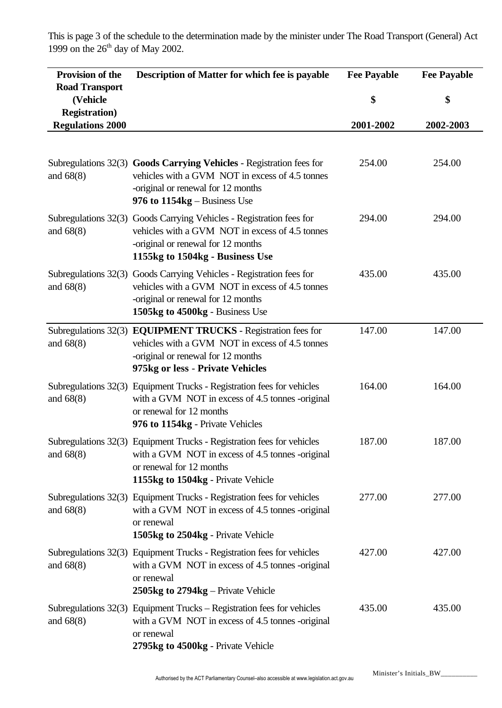This is page 3 of the schedule to the determination made by the minister under The Road Transport (General) Act 1999 on the  $26<sup>th</sup>$  day of May 2002.

| <b>Provision of the</b>                          | Description of Matter for which fee is payable                                                                                                                                                   | <b>Fee Payable</b> | <b>Fee Payable</b> |
|--------------------------------------------------|--------------------------------------------------------------------------------------------------------------------------------------------------------------------------------------------------|--------------------|--------------------|
| <b>Road Transport</b><br>(Vehicle                |                                                                                                                                                                                                  | \$                 | \$                 |
| <b>Registration</b> )<br><b>Regulations 2000</b> |                                                                                                                                                                                                  | 2001-2002          | 2002-2003          |
|                                                  |                                                                                                                                                                                                  |                    |                    |
| and $68(8)$                                      | Subregulations 32(3) Goods Carrying Vehicles - Registration fees for<br>vehicles with a GVM NOT in excess of 4.5 tonnes<br>-original or renewal for 12 months<br>976 to $1154kg - Business$ Use  | 254.00             | 254.00             |
| and $68(8)$                                      | Subregulations 32(3) Goods Carrying Vehicles - Registration fees for<br>vehicles with a GVM NOT in excess of 4.5 tonnes<br>-original or renewal for 12 months<br>1155kg to 1504kg - Business Use | 294.00             | 294.00             |
| and $68(8)$                                      | Subregulations 32(3) Goods Carrying Vehicles - Registration fees for<br>vehicles with a GVM NOT in excess of 4.5 tonnes<br>-original or renewal for 12 months<br>1505kg to 4500kg - Business Use | 435.00             | 435.00             |
| and $68(8)$                                      | Subregulations 32(3) EQUIPMENT TRUCKS - Registration fees for<br>vehicles with a GVM NOT in excess of 4.5 tonnes<br>-original or renewal for 12 months<br>975kg or less - Private Vehicles       | 147.00             | 147.00             |
| and $68(8)$                                      | Subregulations 32(3) Equipment Trucks - Registration fees for vehicles<br>with a GVM NOT in excess of 4.5 tonnes -original<br>or renewal for 12 months<br>976 to 1154kg - Private Vehicles       | 164.00             | 164.00             |
| and $68(8)$                                      | Subregulations 32(3) Equipment Trucks - Registration fees for vehicles<br>with a GVM NOT in excess of 4.5 tonnes -original<br>or renewal for 12 months<br>1155kg to 1504kg - Private Vehicle     | 187.00             | 187.00             |
| and $68(8)$                                      | Subregulations 32(3) Equipment Trucks - Registration fees for vehicles<br>with a GVM NOT in excess of 4.5 tonnes -original<br>or renewal<br>1505kg to 2504kg - Private Vehicle                   | 277.00             | 277.00             |
| and $68(8)$                                      | Subregulations 32(3) Equipment Trucks - Registration fees for vehicles<br>with a GVM NOT in excess of 4.5 tonnes -original<br>or renewal<br>2505kg to 2794kg – Private Vehicle                   | 427.00             | 427.00             |
| and $68(8)$                                      | Subregulations 32(3) Equipment Trucks – Registration fees for vehicles<br>with a GVM NOT in excess of 4.5 tonnes -original<br>or renewal<br>2795kg to 4500kg - Private Vehicle                   | 435.00             | 435.00             |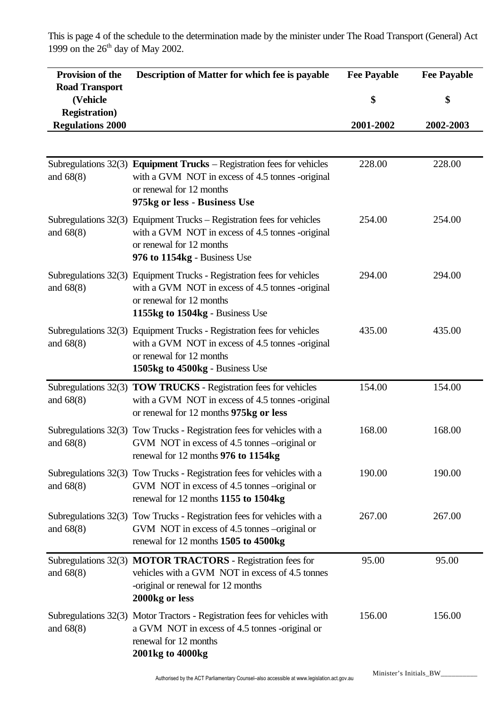This is page 4 of the schedule to the determination made by the minister under The Road Transport (General) Act 1999 on the  $26<sup>th</sup>$  day of May 2002.

| Provision of the<br><b>Road Transport</b>        | Description of Matter for which fee is payable                                                                                                                                            | <b>Fee Payable</b> | <b>Fee Payable</b> |
|--------------------------------------------------|-------------------------------------------------------------------------------------------------------------------------------------------------------------------------------------------|--------------------|--------------------|
| (Vehicle                                         |                                                                                                                                                                                           | \$                 | \$                 |
| <b>Registration</b> )<br><b>Regulations 2000</b> |                                                                                                                                                                                           | 2001-2002          | 2002-2003          |
|                                                  |                                                                                                                                                                                           |                    |                    |
| and $68(8)$                                      | Subregulations $32(3)$ Equipment Trucks – Registration fees for vehicles<br>with a GVM NOT in excess of 4.5 tonnes -original<br>or renewal for 12 months<br>975kg or less - Business Use  | 228.00             | 228.00             |
| and $68(8)$                                      | Subregulations 32(3) Equipment Trucks – Registration fees for vehicles<br>with a GVM NOT in excess of 4.5 tonnes -original<br>or renewal for 12 months<br>976 to 1154kg - Business Use    | 254.00             | 254.00             |
| and $68(8)$                                      | Subregulations 32(3) Equipment Trucks - Registration fees for vehicles<br>with a GVM NOT in excess of 4.5 tonnes -original<br>or renewal for 12 months<br>1155kg to 1504kg - Business Use | 294.00             | 294.00             |
| and $68(8)$                                      | Subregulations 32(3) Equipment Trucks - Registration fees for vehicles<br>with a GVM NOT in excess of 4.5 tonnes -original<br>or renewal for 12 months<br>1505kg to 4500kg - Business Use | 435.00             | 435.00             |
| and $68(8)$                                      | Subregulations 32(3) TOW TRUCKS - Registration fees for vehicles<br>with a GVM NOT in excess of 4.5 tonnes -original<br>or renewal for 12 months 975kg or less                            | 154.00             | 154.00             |
| and $68(8)$                                      | Subregulations 32(3) Tow Trucks - Registration fees for vehicles with a<br>GVM NOT in excess of 4.5 tonnes –original or<br>renewal for 12 months 976 to 1154kg                            | 168.00             | 168.00             |
| and $68(8)$                                      | Subregulations 32(3) Tow Trucks - Registration fees for vehicles with a<br>GVM NOT in excess of 4.5 tonnes –original or<br>renewal for 12 months 1155 to 1504kg                           | 190.00             | 190.00             |
| and $68(8)$                                      | Subregulations 32(3) Tow Trucks - Registration fees for vehicles with a<br>GVM NOT in excess of 4.5 tonnes –original or<br>renewal for 12 months 1505 to 4500kg                           | 267.00             | 267.00             |
| and $68(8)$                                      | Subregulations 32(3) MOTOR TRACTORS - Registration fees for<br>vehicles with a GVM NOT in excess of 4.5 tonnes<br>-original or renewal for 12 months<br>2000kg or less                    | 95.00              | 95.00              |
| and $68(8)$                                      | Subregulations 32(3) Motor Tractors - Registration fees for vehicles with<br>a GVM NOT in excess of 4.5 tonnes -original or<br>renewal for 12 months<br>2001kg to 4000kg                  | 156.00             | 156.00             |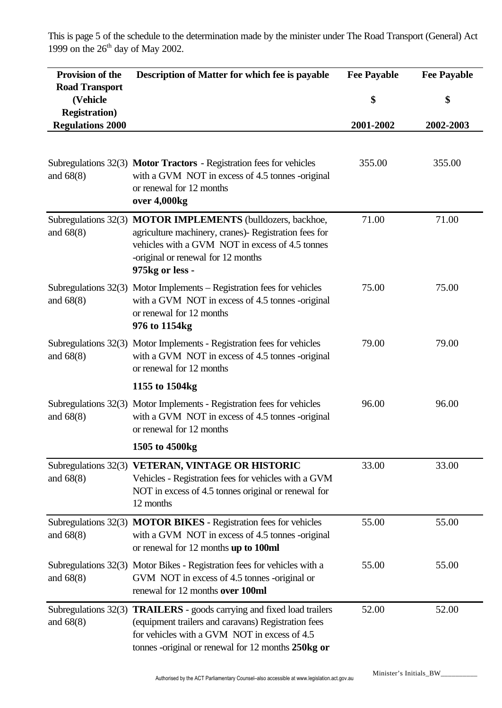This is page 5 of the schedule to the determination made by the minister under The Road Transport (General) Act 1999 on the  $26<sup>th</sup>$  day of May 2002.

| Provision of the<br><b>Road Transport</b>        | Description of Matter for which fee is payable                                                                                                                                                                                             | <b>Fee Payable</b> | <b>Fee Payable</b> |
|--------------------------------------------------|--------------------------------------------------------------------------------------------------------------------------------------------------------------------------------------------------------------------------------------------|--------------------|--------------------|
| (Vehicle                                         |                                                                                                                                                                                                                                            | \$                 | \$                 |
| <b>Registration</b> )<br><b>Regulations 2000</b> |                                                                                                                                                                                                                                            | 2001-2002          | 2002-2003          |
| and $68(8)$                                      | Subregulations 32(3) Motor Tractors - Registration fees for vehicles<br>with a GVM NOT in excess of 4.5 tonnes -original<br>or renewal for 12 months<br>over 4,000kg                                                                       | 355.00             | 355.00             |
| and $68(8)$                                      | Subregulations 32(3) MOTOR IMPLEMENTS (bulldozers, backhoe,<br>agriculture machinery, cranes)- Registration fees for<br>vehicles with a GVM NOT in excess of 4.5 tonnes<br>-original or renewal for 12 months<br>975kg or less -           | 71.00              | 71.00              |
| and $68(8)$                                      | Subregulations $32(3)$ Motor Implements – Registration fees for vehicles<br>with a GVM NOT in excess of 4.5 tonnes -original<br>or renewal for 12 months<br>976 to 1154kg                                                                  | 75.00              | 75.00              |
| and $68(8)$                                      | Subregulations 32(3) Motor Implements - Registration fees for vehicles<br>with a GVM NOT in excess of 4.5 tonnes -original<br>or renewal for 12 months                                                                                     | 79.00              | 79.00              |
|                                                  | 1155 to 1504kg                                                                                                                                                                                                                             |                    |                    |
| and $68(8)$                                      | Subregulations 32(3) Motor Implements - Registration fees for vehicles<br>with a GVM NOT in excess of 4.5 tonnes -original<br>or renewal for 12 months                                                                                     | 96.00              | 96.00              |
|                                                  | 1505 to 4500kg                                                                                                                                                                                                                             |                    |                    |
| and $68(8)$                                      | Subregulations 32(3) VETERAN, VINTAGE OR HISTORIC<br>Vehicles - Registration fees for vehicles with a GVM<br>NOT in excess of 4.5 tonnes original or renewal for<br>12 months                                                              | 33.00              | 33.00              |
| and $68(8)$                                      | Subregulations 32(3) MOTOR BIKES - Registration fees for vehicles<br>with a GVM NOT in excess of 4.5 tonnes -original<br>or renewal for 12 months up to 100ml                                                                              | 55.00              | 55.00              |
| and $68(8)$                                      | Subregulations 32(3) Motor Bikes - Registration fees for vehicles with a<br>GVM NOT in excess of 4.5 tonnes -original or<br>renewal for 12 months over 100ml                                                                               | 55.00              | 55.00              |
| and $68(8)$                                      | Subregulations 32(3) <b>TRAILERS</b> - goods carrying and fixed load trailers<br>(equipment trailers and caravans) Registration fees<br>for vehicles with a GVM NOT in excess of 4.5<br>tonnes -original or renewal for 12 months 250kg or | 52.00              | 52.00              |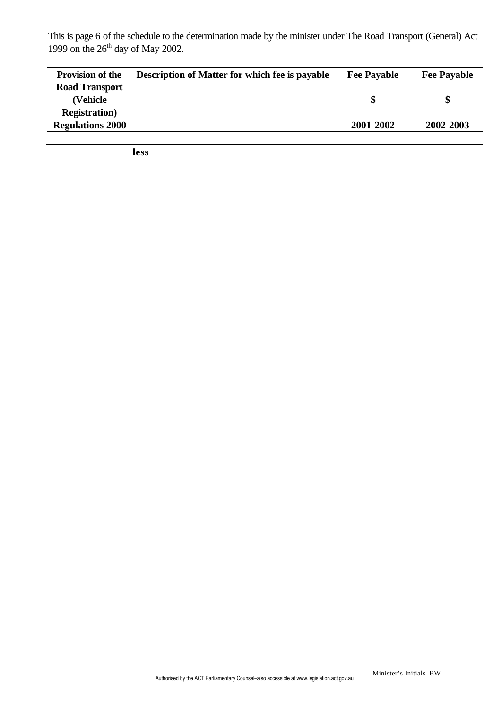This is page 6 of the schedule to the determination made by the minister under The Road Transport (General) Act 1999 on the  $26<sup>th</sup>$  day of May 2002.

| <b>Provision of the</b> | <b>Description of Matter for which fee is payable</b> | <b>Fee Payable</b> | <b>Fee Payable</b> |
|-------------------------|-------------------------------------------------------|--------------------|--------------------|
| <b>Road Transport</b>   |                                                       |                    |                    |
| (Vehicle)               |                                                       |                    |                    |
| <b>Registration</b> )   |                                                       |                    |                    |
| <b>Regulations 2000</b> |                                                       | 2001-2002          | 2002-2003          |
|                         |                                                       |                    |                    |

**less**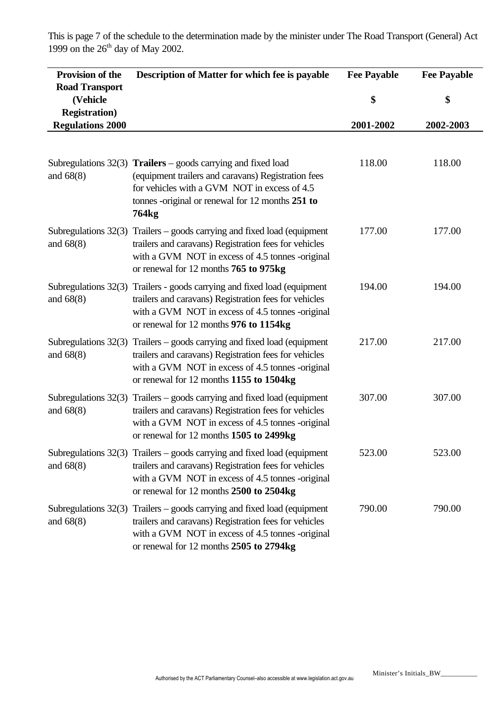This is page 7 of the schedule to the determination made by the minister under The Road Transport (General) Act 1999 on the  $26<sup>th</sup>$  day of May 2002.

| <b>Provision of the</b>                                    | Description of Matter for which fee is payable                                                                                                                                                                                      | <b>Fee Payable</b> | <b>Fee Payable</b> |
|------------------------------------------------------------|-------------------------------------------------------------------------------------------------------------------------------------------------------------------------------------------------------------------------------------|--------------------|--------------------|
| <b>Road Transport</b><br>(Vehicle<br><b>Registration</b> ) |                                                                                                                                                                                                                                     | \$                 | \$                 |
| <b>Regulations 2000</b>                                    |                                                                                                                                                                                                                                     | 2001-2002          | 2002-2003          |
|                                                            |                                                                                                                                                                                                                                     |                    |                    |
| and $68(8)$                                                | Subregulations $32(3)$ Trailers – goods carrying and fixed load<br>(equipment trailers and caravans) Registration fees<br>for vehicles with a GVM NOT in excess of 4.5<br>tonnes -original or renewal for 12 months 251 to<br>764kg | 118.00             | 118.00             |
| and $68(8)$                                                | Subregulations $32(3)$ Trailers – goods carrying and fixed load (equipment<br>trailers and caravans) Registration fees for vehicles<br>with a GVM NOT in excess of 4.5 tonnes -original<br>or renewal for 12 months 765 to 975kg    | 177.00             | 177.00             |
| Subregulations 32(3)<br>and $68(8)$                        | Trailers - goods carrying and fixed load (equipment<br>trailers and caravans) Registration fees for vehicles<br>with a GVM NOT in excess of 4.5 tonnes -original<br>or renewal for 12 months 976 to 1154kg                          | 194.00             | 194.00             |
| Subregulations 32(3)<br>and $68(8)$                        | Trailers – goods carrying and fixed load (equipment<br>trailers and caravans) Registration fees for vehicles<br>with a GVM NOT in excess of 4.5 tonnes -original<br>or renewal for 12 months 1155 to 1504kg                         | 217.00             | 217.00             |
| Subregulations 32(3)<br>and 68(8)                          | Trailers – goods carrying and fixed load (equipment<br>trailers and caravans) Registration fees for vehicles<br>with a GVM NOT in excess of 4.5 tonnes -original<br>or renewal for 12 months 1505 to 2499kg                         | 307.00             | 307.00             |
| and $68(8)$                                                | Subregulations 32(3) Trailers - goods carrying and fixed load (equipment<br>trailers and caravans) Registration fees for vehicles<br>with a GVM NOT in excess of 4.5 tonnes -original<br>or renewal for 12 months 2500 to 2504kg    | 523.00             | 523.00             |
| Subregulations 32(3)<br>and $68(8)$                        | Trailers – goods carrying and fixed load (equipment<br>trailers and caravans) Registration fees for vehicles<br>with a GVM NOT in excess of 4.5 tonnes -original<br>or renewal for 12 months 2505 to 2794kg                         | 790.00             | 790.00             |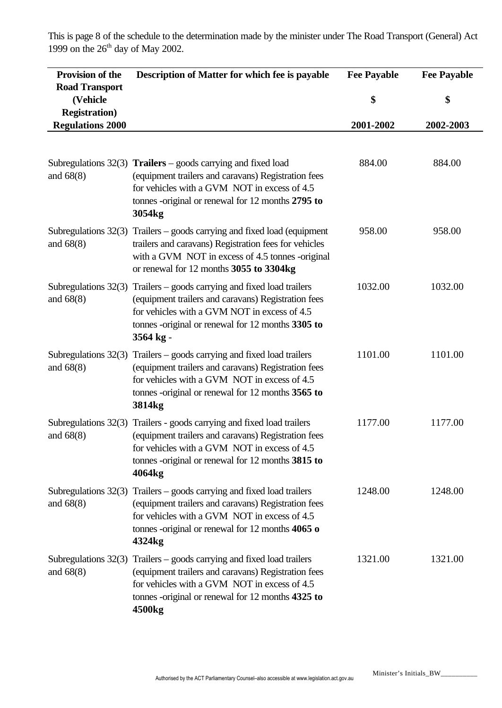This is page 8 of the schedule to the determination made by the minister under The Road Transport (General) Act 1999 on the  $26<sup>th</sup>$  day of May 2002.

| <b>Provision of the</b>                          | Description of Matter for which fee is payable                                                                                                                                                                                                                | <b>Fee Payable</b> | <b>Fee Payable</b> |
|--------------------------------------------------|---------------------------------------------------------------------------------------------------------------------------------------------------------------------------------------------------------------------------------------------------------------|--------------------|--------------------|
| <b>Road Transport</b><br>(Vehicle                |                                                                                                                                                                                                                                                               | \$                 | \$                 |
| <b>Registration</b> )<br><b>Regulations 2000</b> |                                                                                                                                                                                                                                                               | 2001-2002          | 2002-2003          |
|                                                  |                                                                                                                                                                                                                                                               |                    |                    |
| and $68(8)$                                      | Subregulations $32(3)$ Trailers – goods carrying and fixed load<br>(equipment trailers and caravans) Registration fees<br>for vehicles with a GVM NOT in excess of 4.5<br>tonnes -original or renewal for 12 months 2795 to<br>3054kg                         | 884.00             | 884.00             |
| and $68(8)$                                      | Subregulations $32(3)$ Trailers – goods carrying and fixed load (equipment<br>trailers and caravans) Registration fees for vehicles<br>with a GVM NOT in excess of 4.5 tonnes -original<br>or renewal for 12 months 3055 to 3304kg                            | 958.00             | 958.00             |
| and $68(8)$                                      | Subregulations 32(3) Trailers - goods carrying and fixed load trailers<br>(equipment trailers and caravans) Registration fees<br>for vehicles with a GVM NOT in excess of 4.5<br>tonnes -original or renewal for 12 months 3305 to<br>3564 kg -               | 1032.00            | 1032.00            |
| Subregulations 32(3)<br>and $68(8)$              | Trailers – goods carrying and fixed load trailers<br>(equipment trailers and caravans) Registration fees<br>for vehicles with a GVM NOT in excess of 4.5<br>tonnes -original or renewal for 12 months 3565 to<br>3814 <sub>kg</sub>                           | 1101.00            | 1101.00            |
| and $68(8)$                                      | Subregulations 32(3) Trailers - goods carrying and fixed load trailers<br>(equipment trailers and caravans) Registration fees<br>for vehicles with a GVM NOT in excess of 4.5<br>tonnes -original or renewal for 12 months 3815 to<br>4064kg                  | 1177.00            | 1177.00            |
| and $68(8)$                                      | Subregulations $32(3)$ Trailers – goods carrying and fixed load trailers<br>(equipment trailers and caravans) Registration fees<br>for vehicles with a GVM NOT in excess of 4.5<br>tonnes -original or renewal for $12$ months $4065$ o<br>4324 <sub>kg</sub> | 1248.00            | 1248.00            |
| and $68(8)$                                      | Subregulations $32(3)$ Trailers – goods carrying and fixed load trailers<br>(equipment trailers and caravans) Registration fees<br>for vehicles with a GVM NOT in excess of 4.5<br>tonnes -original or renewal for 12 months 4325 to<br>4500 <sub>kg</sub>    | 1321.00            | 1321.00            |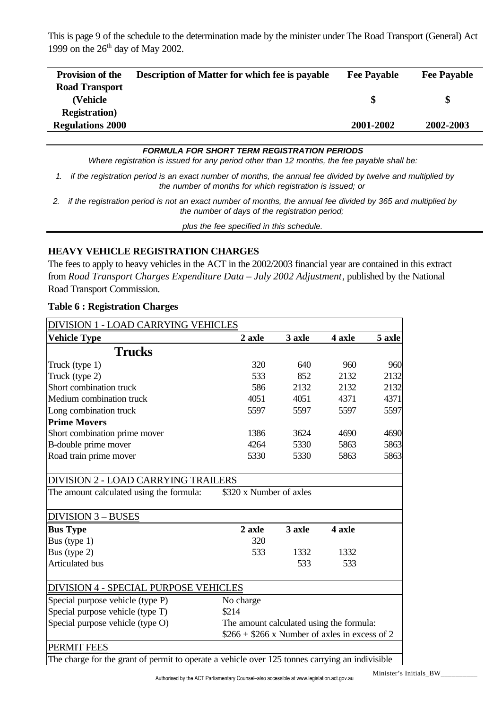This is page 9 of the schedule to the determination made by the minister under The Road Transport (General) Act 1999 on the  $26<sup>th</sup>$  day of May 2002.

| <b>Provision of the</b> | <b>Description of Matter for which fee is payable</b> | <b>Fee Payable</b> | <b>Fee Payable</b> |
|-------------------------|-------------------------------------------------------|--------------------|--------------------|
| <b>Road Transport</b>   |                                                       |                    |                    |
| (Vehicle)               |                                                       | S                  |                    |
| <b>Registration</b> )   |                                                       |                    |                    |
| <b>Regulations 2000</b> |                                                       | 2001-2002          | 2002-2003          |
|                         |                                                       |                    |                    |

#### *FORMULA FOR SHORT TERM REGISTRATION PERIODS*

*Where registration is issued for any period other than 12 months, the fee payable shall be:*

- *1. if the registration period is an exact number of months, the annual fee divided by twelve and multiplied by the number of months for which registration is issued; or*
- *2. if the registration period is not an exact number of months, the annual fee divided by 365 and multiplied by the number of days of the registration period;*

*plus the fee specified in this schedule.*

## **HEAVY VEHICLE REGISTRATION CHARGES**

The fees to apply to heavy vehicles in the ACT in the 2002/2003 financial year are contained in this extract from *Road Transport Charges Expenditure Data – July 2002 Adjustment*, published by the National Road Transport Commission.

| DIVISION 1 - LOAD CARRYING VEHICLES                                                    |                                                |        |               |        |
|----------------------------------------------------------------------------------------|------------------------------------------------|--------|---------------|--------|
| <b>Vehicle Type</b>                                                                    | 2 axle                                         | 3 axle | 4 axle        | 5 axle |
| <b>Trucks</b>                                                                          |                                                |        |               |        |
| Truck (type 1)                                                                         | 320                                            | 640    | 960           | 960    |
| Truck (type 2)                                                                         | 533                                            | 852    | 2132          | 2132   |
| Short combination truck                                                                | 586                                            | 2132   | 2132          | 2132   |
| Medium combination truck                                                               | 4051                                           | 4051   | 4371          | 4371   |
| Long combination truck                                                                 | 5597                                           | 5597   | 5597          | 5597   |
| <b>Prime Movers</b>                                                                    |                                                |        |               |        |
| Short combination prime mover                                                          | 1386                                           | 3624   | 4690          | 4690   |
| B-double prime mover                                                                   | 4264                                           | 5330   | 5863          | 5863   |
| Road train prime mover                                                                 | 5330                                           | 5330   | 5863          | 5863   |
| <b>DIVISION 2 - LOAD CARRYING TRAILERS</b><br>The amount calculated using the formula: | \$320 x Number of axles                        |        |               |        |
| <b>DIVISION 3 - BUSES</b>                                                              |                                                |        |               |        |
| <b>Bus Type</b>                                                                        | 2 axle                                         | 3 axle | <b>4 axle</b> |        |
| Bus (type $1$ )                                                                        | 320                                            |        |               |        |
| Bus (type 2)                                                                           | 533                                            | 1332   | 1332          |        |
| Articulated bus                                                                        |                                                | 533    | 533           |        |
| <b>DIVISION 4 - SPECIAL PURPOSE VEHICLES</b>                                           |                                                |        |               |        |
| Special purpose vehicle (type P)                                                       | No charge                                      |        |               |        |
| Special purpose vehicle (type T)                                                       | \$214                                          |        |               |        |
| Special purpose vehicle (type O)                                                       | The amount calculated using the formula:       |        |               |        |
|                                                                                        | $$266 + $266$ x Number of axles in excess of 2 |        |               |        |
| PERMIT FEES                                                                            |                                                |        |               |        |

#### **Table 6 : Registration Charges**

The charge for the grant of permit to operate a vehicle over 125 tonnes carrying an indivisible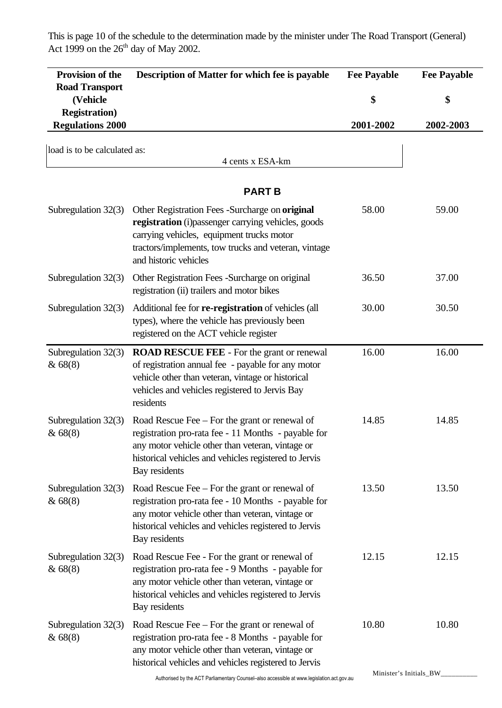This is page 10 of the schedule to the determination made by the minister under The Road Transport (General) Act 1999 on the  $26<sup>th</sup>$  day of May 2002.

| Provision of the                                 | Description of Matter for which fee is payable                                                                                                                                                                                       | <b>Fee Payable</b> | <b>Fee Payable</b> |
|--------------------------------------------------|--------------------------------------------------------------------------------------------------------------------------------------------------------------------------------------------------------------------------------------|--------------------|--------------------|
| <b>Road Transport</b><br>(Vehicle                |                                                                                                                                                                                                                                      | \$                 | \$                 |
| <b>Registration</b> )<br><b>Regulations 2000</b> |                                                                                                                                                                                                                                      | 2001-2002          | 2002-2003          |
| load is to be calculated as:                     |                                                                                                                                                                                                                                      |                    |                    |
|                                                  | 4 cents x ESA-km                                                                                                                                                                                                                     |                    |                    |
|                                                  | <b>PART B</b>                                                                                                                                                                                                                        |                    |                    |
| Subregulation $32(3)$                            | Other Registration Fees -Surcharge on original<br>registration (i) passenger carrying vehicles, goods<br>carrying vehicles, equipment trucks motor<br>tractors/implements, tow trucks and veteran, vintage<br>and historic vehicles  | 58.00              | 59.00              |
| Subregulation 32(3)                              | Other Registration Fees -Surcharge on original<br>registration (ii) trailers and motor bikes                                                                                                                                         | 36.50              | 37.00              |
| Subregulation 32(3)                              | Additional fee for <b>re-registration</b> of vehicles (all<br>types), where the vehicle has previously been<br>registered on the ACT vehicle register                                                                                | 30.00              | 30.50              |
| Subregulation 32(3)<br>& 68(8)                   | <b>ROAD RESCUE FEE - For the grant or renewal</b><br>of registration annual fee - payable for any motor<br>vehicle other than veteran, vintage or historical<br>vehicles and vehicles registered to Jervis Bay<br>residents          | 16.00              | 16.00              |
| Subregulation $32(3)$<br>& 68(8)                 | Road Rescue Fee – For the grant or renewal of<br>registration pro-rata fee - 11 Months - payable for<br>any motor vehicle other than veteran, vintage or<br>historical vehicles and vehicles registered to Jervis<br>Bay residents   | 14.85              | 14.85              |
| Subregulation $32(3)$<br>& 68(8)                 | Road Rescue Fee $-$ For the grant or renewal of<br>registration pro-rata fee - 10 Months - payable for<br>any motor vehicle other than veteran, vintage or<br>historical vehicles and vehicles registered to Jervis<br>Bay residents | 13.50              | 13.50              |
| Subregulation $32(3)$<br>& 68(8)                 | Road Rescue Fee - For the grant or renewal of<br>registration pro-rata fee - 9 Months - payable for<br>any motor vehicle other than veteran, vintage or<br>historical vehicles and vehicles registered to Jervis<br>Bay residents    | 12.15              | 12.15              |
| Subregulation $32(3)$<br>& 68(8)                 | Road Rescue Fee – For the grant or renewal of<br>registration pro-rata fee - 8 Months - payable for<br>any motor vehicle other than veteran, vintage or<br>historical vehicles and vehicles registered to Jervis                     | 10.80              | 10.80              |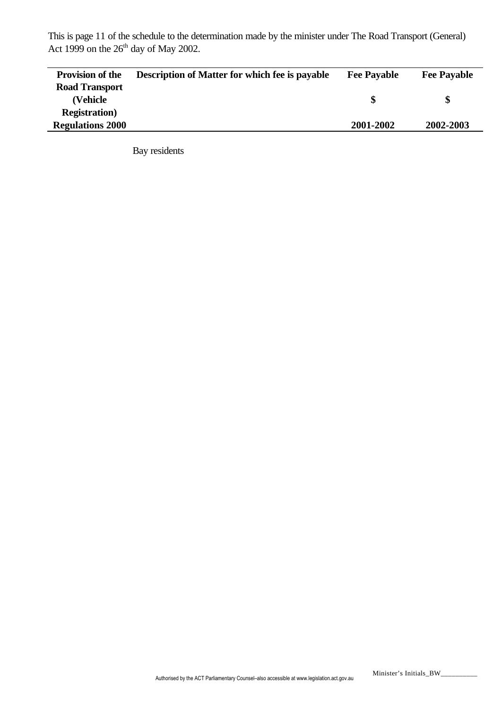This is page 11 of the schedule to the determination made by the minister under The Road Transport (General) Act 1999 on the  $26<sup>th</sup>$  day of May 2002.

| <b>Provision of the</b> | <b>Description of Matter for which fee is payable</b> | <b>Fee Payable</b> | <b>Fee Payable</b> |
|-------------------------|-------------------------------------------------------|--------------------|--------------------|
| <b>Road Transport</b>   |                                                       |                    |                    |
| (Vehicle                |                                                       | \$.                |                    |
| <b>Registration</b> )   |                                                       |                    |                    |
| <b>Regulations 2000</b> |                                                       | 2001-2002          | 2002-2003          |

Bay residents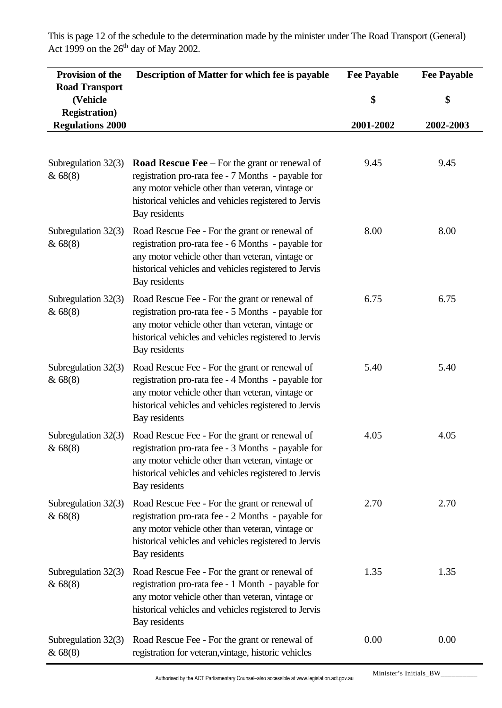**Provision of the Road Transport (Vehicle Registration) Regulations 2000 Description of Matter for which fee is payable Fee Payable \$ 2001-2002 Fee Payable \$ 2002-2003** Subregulation 32(3) & 68(8) **Road Rescue Fee** – For the grant or renewal of registration pro-rata fee - 7 Months - payable for any motor vehicle other than veteran, vintage or historical vehicles and vehicles registered to Jervis Bay residents 9.45 9.45 Subregulation 32(3) & 68(8) Road Rescue Fee - For the grant or renewal of registration pro-rata fee - 6 Months - payable for any motor vehicle other than veteran, vintage or historical vehicles and vehicles registered to Jervis Bay residents 8.00 8.00 Subregulation 32(3) & 68(8) Road Rescue Fee - For the grant or renewal of registration pro-rata fee - 5 Months - payable for any motor vehicle other than veteran, vintage or historical vehicles and vehicles registered to Jervis Bay residents 6.75 6.75 Subregulation 32(3) & 68(8) Road Rescue Fee - For the grant or renewal of registration pro-rata fee - 4 Months - payable for any motor vehicle other than veteran, vintage or historical vehicles and vehicles registered to Jervis Bay residents 5.40 5.40 Subregulation 32(3) & 68(8) Road Rescue Fee - For the grant or renewal of registration pro-rata fee - 3 Months - payable for any motor vehicle other than veteran, vintage or historical vehicles and vehicles registered to Jervis Bay residents 4.05 4.05 Subregulation 32(3) & 68(8) Road Rescue Fee - For the grant or renewal of registration pro-rata fee - 2 Months - payable for any motor vehicle other than veteran, vintage or historical vehicles and vehicles registered to Jervis Bay residents 2.70 2.70 Subregulation 32(3) & 68(8) Road Rescue Fee - For the grant or renewal of registration pro-rata fee - 1 Month - payable for any motor vehicle other than veteran, vintage or historical vehicles and vehicles registered to Jervis Bay residents 1.35 1.35 Subregulation 32(3) & 68(8) Road Rescue Fee - For the grant or renewal of registration for veteran,vintage, historic vehicles 0.00 0.00

This is page 12 of the schedule to the determination made by the minister under The Road Transport (General) Act 1999 on the  $26<sup>th</sup>$  day of May 2002.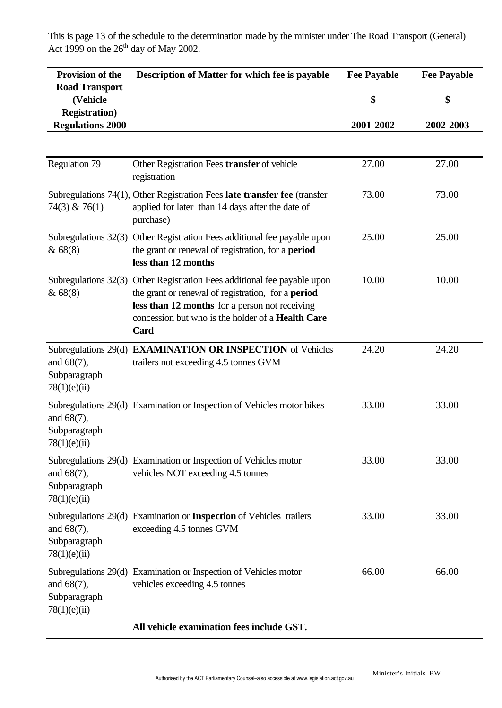This is page 13 of the schedule to the determination made by the minister under The Road Transport (General) Act 1999 on the  $26<sup>th</sup>$  day of May 2002.

| Provision of the                                 | Description of Matter for which fee is payable                                                                                                                                                                                                       | <b>Fee Payable</b> | <b>Fee Payable</b> |
|--------------------------------------------------|------------------------------------------------------------------------------------------------------------------------------------------------------------------------------------------------------------------------------------------------------|--------------------|--------------------|
| <b>Road Transport</b><br>(Vehicle                |                                                                                                                                                                                                                                                      | \$                 | \$                 |
| <b>Registration</b> )<br><b>Regulations 2000</b> |                                                                                                                                                                                                                                                      | 2001-2002          | 2002-2003          |
|                                                  |                                                                                                                                                                                                                                                      |                    |                    |
| <b>Regulation 79</b>                             | Other Registration Fees transfer of vehicle<br>registration                                                                                                                                                                                          | 27.00              | 27.00              |
| $74(3)$ & $76(1)$                                | Subregulations 74(1), Other Registration Fees late transfer fee (transfer<br>applied for later than 14 days after the date of<br>purchase)                                                                                                           | 73.00              | 73.00              |
| Subregulations 32(3)<br>& 68(8)                  | Other Registration Fees additional fee payable upon<br>the grant or renewal of registration, for a <b>period</b><br>less than 12 months                                                                                                              | 25.00              | 25.00              |
| &68(8)                                           | Subregulations 32(3) Other Registration Fees additional fee payable upon<br>the grant or renewal of registration, for a period<br>less than 12 months for a person not receiving<br>concession but who is the holder of a <b>Health Care</b><br>Card | 10.00              | 10.00              |
| and $68(7)$ ,<br>Subparagraph<br>78(1)(e)(ii)    | Subregulations 29(d) EXAMINATION OR INSPECTION of Vehicles<br>trailers not exceeding 4.5 tonnes GVM                                                                                                                                                  | 24.20              | 24.20              |
| and $68(7)$ ,<br>Subparagraph<br>78(1)(e)(ii)    | Subregulations 29(d) Examination or Inspection of Vehicles motor bikes                                                                                                                                                                               | 33.00              | 33.00              |
| and $68(7)$ ,<br>Subparagraph<br>78(1)(e)(ii)    | Subregulations 29(d) Examination or Inspection of Vehicles motor<br>vehicles NOT exceeding 4.5 tonnes                                                                                                                                                | 33.00              | 33.00              |
| and $68(7)$ ,<br>Subparagraph<br>78(1)(e)(ii)    | Subregulations 29(d) Examination or Inspection of Vehicles trailers<br>exceeding 4.5 tonnes GVM                                                                                                                                                      | 33.00              | 33.00              |
| and $68(7)$ ,<br>Subparagraph<br>78(1)(e)(ii)    | Subregulations 29(d) Examination or Inspection of Vehicles motor<br>vehicles exceeding 4.5 tonnes                                                                                                                                                    | 66.00              | 66.00              |
|                                                  |                                                                                                                                                                                                                                                      |                    |                    |

**All vehicle examination fees include GST.**